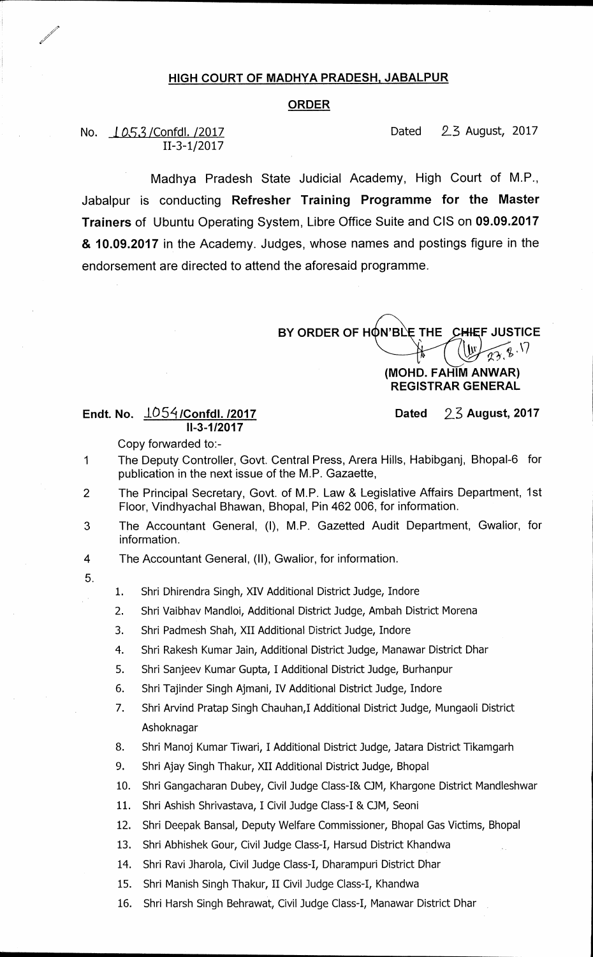## **HIGH COURT OF MADHYA PRADESH, JABALPUR**

## **ORDER**

**11-3-1/2017** 

**No.** I **05,3 /Confdl. /2017 Dated** 23 **August, 2017** 

**Madhya Pradesh State Judicial Academy, High Court of M.P., Jabalpur is conducting Refresher Training Programme for the Master Trainers of Ubuntu Operating System, Libre Office Suite and CIS on 09.09.2017 & 10.09.2017 in the Academy. Judges, whose names and postings figure in the endorsement are directed to attend the aforesaid programme.** 

BY ORDER OF HON'BLE THE CHIEF JUSTICE

## **(MOND. FAHIM ANWAR) REGISTRAR GENERAL**

**Endt. No.**  $\frac{1054}{C}$ onfdl. /2017 **Dated** 23 August, 2017 **11-3-1/2017** 

**Copy forwarded to:-** 

- **1 The Deputy Controller, Govt. Central Press, Arera Hills, Habibganj, Bhopal-6 for publication in the next issue of the M.P. Gazaette,**
- **2 The Principal Secretary, Govt. of M.P. Law & Legislative Affairs Department, 1st Floor, Vindhyachal Bhawan, Bhopal, Pin 462 006, for information.**
- **3 The Accountant General, (I), M.P. Gazetted Audit Department, Gwalior, for information.**

**4 The Accountant General, (II), Gwalior, for information.** 

- **5.**
- **1. Shri Dhirendra Singh, XIV Additional District Judge, Indore**
- **2. Shri Vaibhav Mandloi, Additional District Judge, Ambah District Morena**
- **3. Shri Padmesh Shah, XII Additional District Judge, Indore**
- **4. Shri Rakesh Kumar Jain, Additional District Judge, Manawar District Dhar**
- **5. Shri Sanjeev Kumar Gupta, I Additional District Judge, Burhanpur**
- **6. Shri Tajinder Singh Ajmani, IV Additional District Judge, Indore**
- **7. Shri Arvind Pratap Singh Chauhan,I Additional District Judge, Mungaoli District Ashoknagar**
- **8. Shri Manoj Kumar Tiwari, I Additional District Judge, Jatara District Tikamgarh**
- **9. Shri Ajay Singh Thakur, XII Additional District Judge, Bhopal**
- **10. Shri Gangacharan Dubey, Civil Judge Class-I& OM, Khargone District Mandleshwar**
- **11. Shri Ashish Shrivastava, I Civil Judge Class-I & OM, Seoni**
- **12. Shri Deepak Bansal, Deputy Welfare Commissioner, Bhopal Gas Victims, Bhopal**
- **13. Shri Abhishek Gour, Civil Judge Class-I, Harsud District Khandwa**
- **14. Shri Ravi Jharola, Civil Judge Class-I, Dharampuri District Dhar**
- **15. Shri Manish Singh Thakur, II Civil Judge Class-I, Khandwa**
- **16. Shri Harsh Singh Behrawat, Civil Judge Class-I, Manawar District Dhar**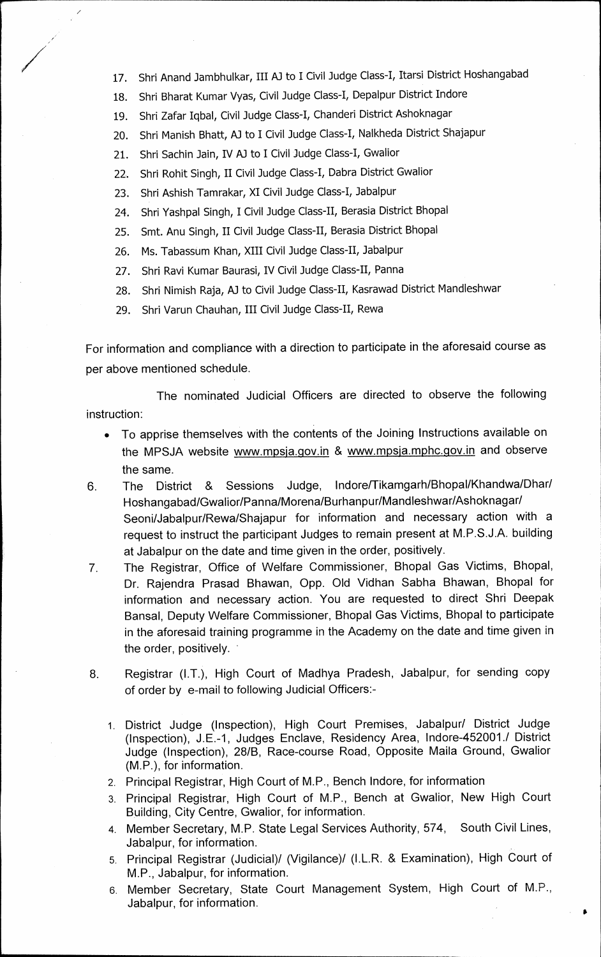- **17. Shri Anand Jambhulkar, III AJ to I Civil Judge Class-I, Itarsi District Hoshangabad**
- **18. Shri Bharat Kumar Vyas, Civil Judge Class-I, Depalpur District Indore**
- **19. Shri Zafar Iqbal, Civil Judge Class-I, Chanderi District Ashoknagar**
- **20. Shri Manish Bhatt, A3 to I Civil Judge Class-I, Nalkheda District Shajapur**
- **21. Shri Sachin Jain, IV A3 to I Civil Judge Class-I, Gwalior**
- **22. Shri Rohit Singh, II Civil Judge Class-I, Dabra District Gwalior**
- **23. Shri Ashish Tamrakar, XI Civil Judge Class-I, Jabalpur**
- **24. Shri Yashpal Singh, I Civil Judge Class-II, Berasia District Bhopal**
- **25. Smt. Anu Singh, II Civil Judge Class-II, Berasia District Bhopal**
- **26. Ms. Tabassum Khan, XIII Civil Judge Class-II, Jabalpur**
- **27. Shri Ravi Kumar Baurasi, IV Civil Judge Class-II, Panna**
- **28. Shri Nimish Raja, AJ to Civil Judge Class-II, Kasrawad District Mandleshwar**
- **29. Shri Varun Chauhan, III Civil Judge Class-II, Rewa**

**For information and compliance with a direction to participate in the aforesaid course as per above mentioned schedule.** 

**The nominated Judicial Officers are directed to observe the following instruction:** 

- **To apprise themselves with the contents of the Joining Instructions available on**  the MPSJA website www.mpsja.gov.in & www.mpsja.mphc.gov.in and observe **the same.**
- **6. The District & Sessions Judge, Indore/Tikamgarh/Bhopal/Khandwa/Dhar/ Hoshangabad/Gwalior/Panna/Morena/Burhanpur/Mandleshwar/Ashoknagar/ Seoni/Jabalpur/Rewa/Shajapur for information and necessary action with a request to instruct the participant Judges to remain present at M.P.S.J.A. building at Jabalpur on the date and time given in the order, positively.**
- **7. The Registrar, Office of Welfare Commissioner, Bhopal Gas Victims, Bhopal, Dr. Rajendra Prasad Bhawan, Opp. Old Vidhan Sabha Bhawan, Bhopal for information and necessary action. You are requested to direct Shri Deepak Bansal, Deputy Welfare Commissioner, Bhopal Gas Victims, Bhopal to participate in the aforesaid training programme in the Academy on the date and time given in the order, positively. -**
- **8. Registrar (I.T.), High Court of Madhya Pradesh, Jabalpur, for sending copy of order by e-mail to following Judicial Officers:-** 
	- **1. District Judge (Inspection), High Court Premises, Jabalpur/ District Judge (Inspection), J.E.-1, Judges Enclave, Residency Area, indore-452001.1 District Judge (Inspection), 28/B, Race-course Road, Opposite Maila Ground, Gwalior (M.P.), for information.**
	- **2. Principal Registrar, High Court of M.P., Bench Indore, for information**
	- **3. Principal Registrar, High Court of M.P., Bench at Gwalior, New High Court Building, City Centre, Gwalior, for information.**
	- **4. Member Secretary, M.P. State Legal Services Authority, 574, South Civil Lines, Jabalpur, for information.**
	- **5. Principal Registrar (Judicial)/ (Vigilance)/ (I.L.R. & Examination), High Court of M.P., Jabalpur, for information.**
	- **6. Member Secretary, State Court Management System, High Court of M.P., Jabalpur, for information.**

 $\bullet$